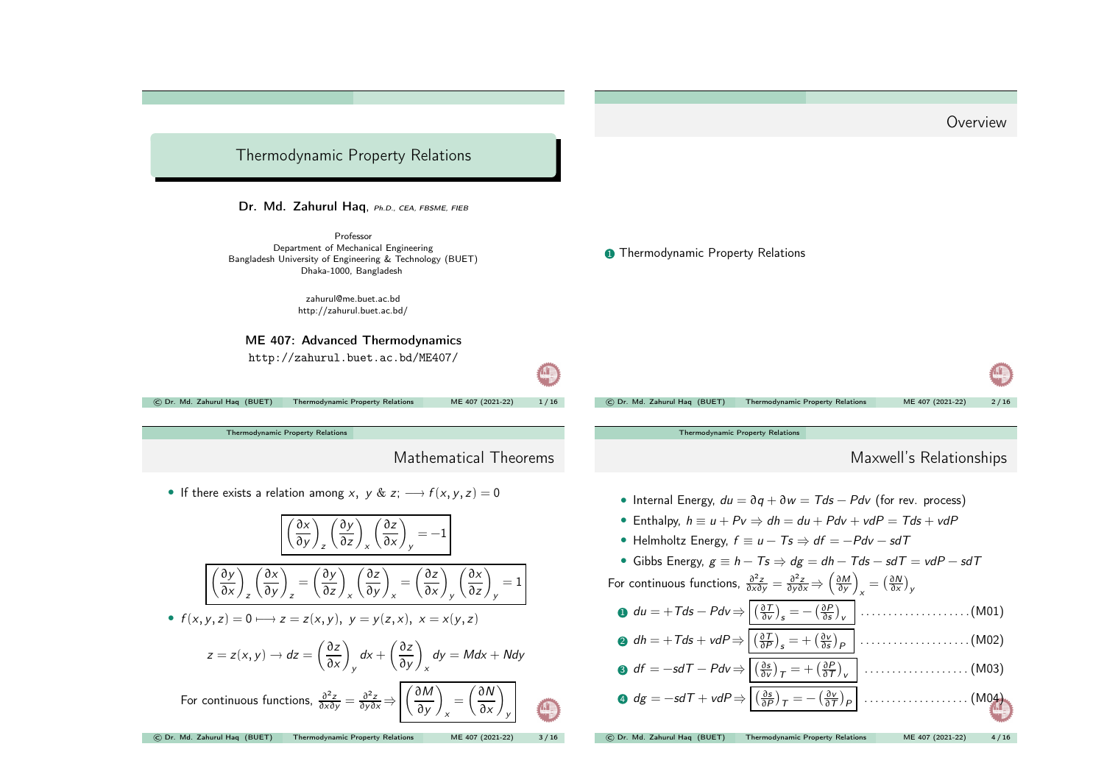<span id="page-0-0"></span>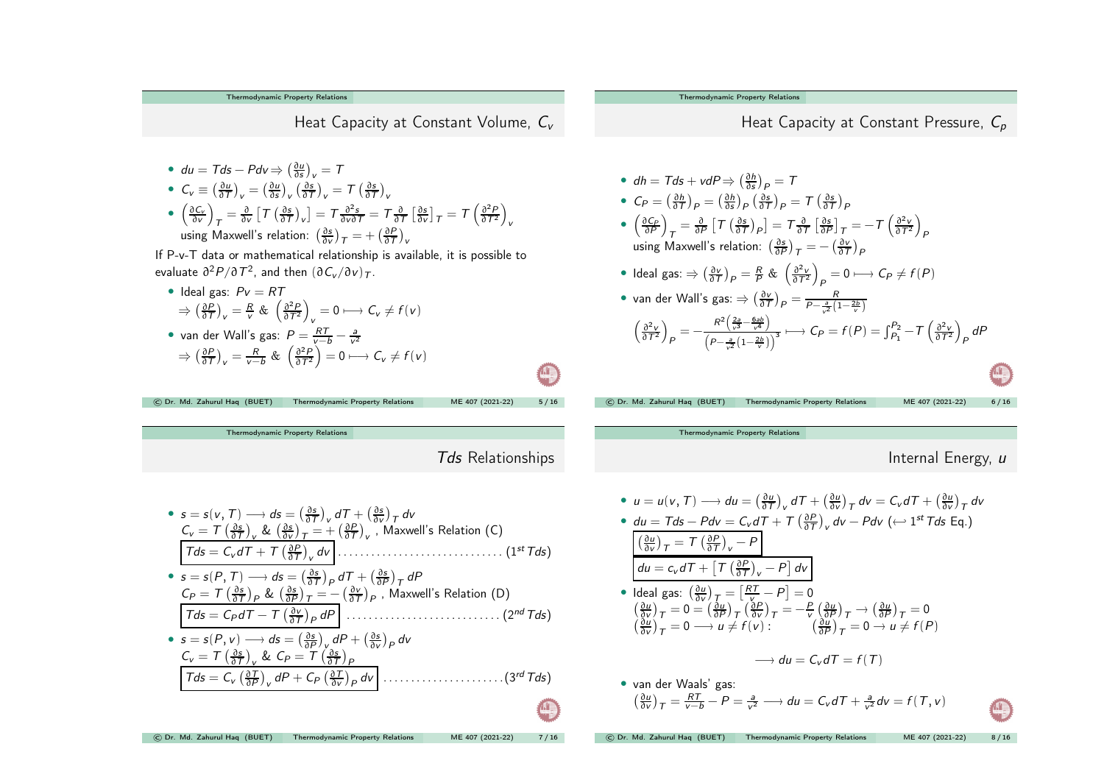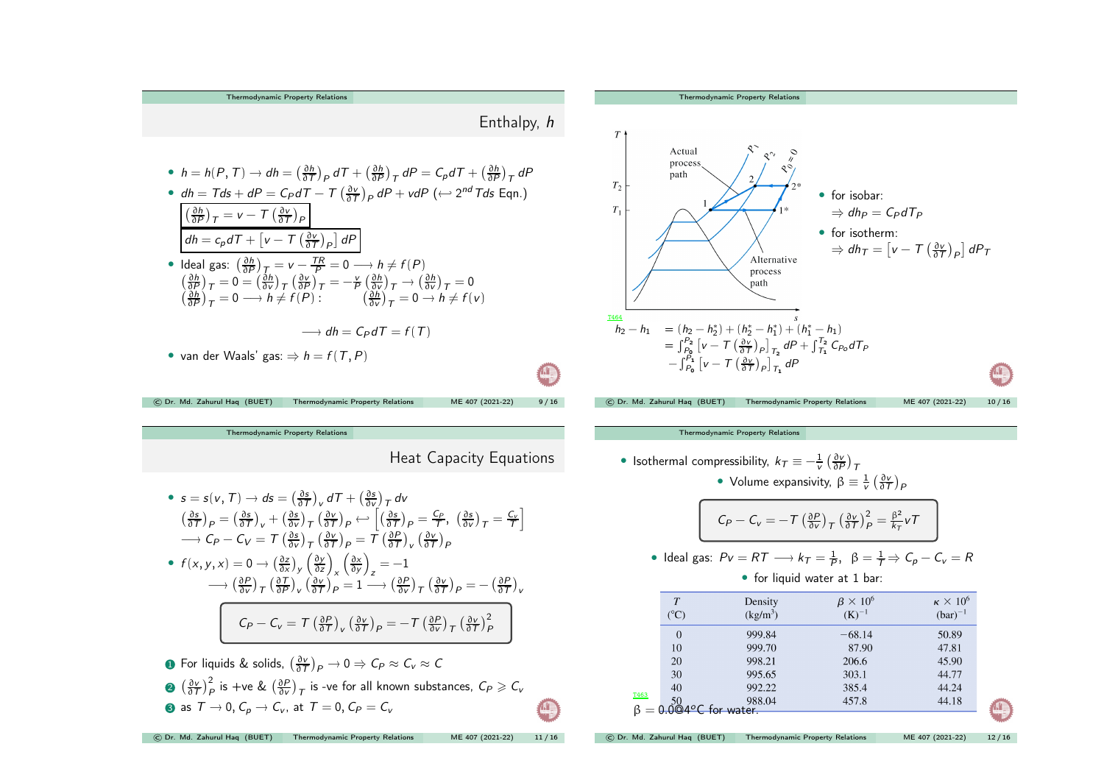The modynamic Property Relations

\nExample 2.1

\nThe modynamic Property Relations

\nThe modynamic Property Relations

\nThe modynamic Property Relations

\nThe modynamic Property Relations

\nThe 
$$
f(x, T) \rightarrow df = \left(\frac{\partial h}{\partial T}\right)_P dT + \left(\frac{\partial h}{\partial P}\right)_T dP = C_P dT + \left(\frac{\partial h}{\partial P}\right)_T dP
$$

\nThe  $f(x)$  is given by the formula:

\nThe  $f(x)$  is given by the formula:

\nThe  $f(x)$  is given by the formula:

\nThe  $f(x)$  is given by the formula:

\nThe  $f(x)$  is given by the formula:

\nThe  $f(x)$  is given by the formula:

\nThe  $f(x)$  is given by the formula:

\nThe  $f(x)$  is given by the formula:

\nThe  $f(x)$  is given by the formula:

\nThe  $f(x)$  is given by the formula:

\nThe  $f(x)$  is given by the formula:

\nThe  $f(x)$  is given by the formula:

\nThe  $f(x)$  is given by the formula:

\nThe  $f(x)$  is given by the formula:

\nThe  $f(x)$  is given by the formula:

\nThe  $f(x)$  is given by the formula:

\nThe  $f(x)$  is given by the formula:

\nThe  $f(x)$  is given by the formula:

\nThe  $f(x)$  is given by the formula:

\nThe  $f(x)$  is given by the formula:

\nThe  $f(x)$  is given by the formula:

\nThe  $f(x)$  is given by the formula:

\nThe  $f(x)$  is given by the formula:

\nThe  $f(x)$  is given by the formula:

\nThe  $f(x)$  is given by the formula:

\nThe  $f(x)$  is given by the formula:

\nThe  $f(x)$  is given by the formula:

\nThe  $f(x)$  is given by the formula:

\nThe  $f(x)$  is given by the formula:

\nThe  $f(x)$  is given by the formula:

\nThe  $f(x)$  is given by the formula:

\nThe  $f(x)$  is given by the formula:

\nThe  $f(x)$  is given by the formula:

\nThe  $f(x)$  is given by the formula:

\nThe  $f(x)$  is given by the formula:

[Thermodynamic](#page-0-0) Property Relations Heat Capacity Equations •  $s = s(v, T) \rightarrow ds = \left(\frac{\partial s}{\partial T}\right)_v dT + \left(\frac{\partial s}{\partial v}\right)_T dv$  $\left(\frac{\partial s}{\partial \tau}\right)_P = \left(\frac{\partial s}{\partial \tau}\right)_V + \left(\frac{\partial s}{\partial \nu}\right)_T \left(\frac{\partial v}{\partial \tau}\right)_P \leftarrow \left[\left(\frac{\partial s}{\partial \tau}\right)_P = \frac{C_P}{\tau}, \left(\frac{\partial s}{\partial \nu}\right)_T = \frac{C_V}{\tau}\right]$  $\longrightarrow C_P - C_V = T \left( \frac{\partial s}{\partial v} \right)_T \left( \frac{\partial v}{\partial T} \right)_P = T \left( \frac{\partial P}{\partial T} \right)_V \left( \frac{\partial v}{\partial T} \right)_P$ •  $f(x, y, x) = 0 \rightarrow \left(\frac{\partial z}{\partial x}\right)_y \left(\frac{\partial y}{\partial z}\right)_x \left(\frac{\partial x}{\partial y}\right)_z = -1$  $\rightarrow (\frac{\partial P}{\partial v})_{\tau} (\frac{\partial T}{\partial P})_{v} (\frac{\partial v}{\partial T})_{P} = 1 \rightarrow (\frac{\partial P}{\partial v})_{\tau} (\frac{\partial v}{\partial T})_{P} = -(\frac{\partial P}{\partial T})_{v}$  $C_P - C_V = T \left(\frac{\partial P}{\partial T}\right)_V \left(\frac{\partial V}{\partial T}\right)_P = -T \left(\frac{\partial P}{\partial V}\right)_T \left(\frac{\partial V}{\partial T}\right)_P^2$ **1** For liquids & solids,  $\left(\frac{\partial v}{\partial T}\right)_P \to 0 \Rightarrow C_P \approx C_v \approx C$ **②**  $\left(\frac{\partial v}{\partial T}\right)_P^2$  is +ve &  $\left(\frac{\partial P}{\partial v}\right)_T$  is -ve for all known substances,  $C_P \geq C_v$ **3** as  $T \rightarrow 0$ ,  $C_p \rightarrow C_v$ , at  $T = 0$ ,  $C_p = C_v$ **CO** © Dr. Md. Zahurul Haq (BUET) [Thermodynamic](#page-0-0) Property Relations ME <sup>407</sup> (2021-22) <sup>11</sup> / <sup>16</sup> [Thermodynamic](#page-0-0) Property Relations

• Isothermal compressibility,  $k_T \equiv -\frac{1}{v} \left( \frac{\partial v}{\partial P} \right)_T$ • Volume expansivity,  $\beta \equiv \frac{1}{y} \left( \frac{\partial v}{\partial \tau} \right)_{\rho}$  $C_P - C_V = -T \left(\frac{\partial P}{\partial v}\right)_T \left(\frac{\partial v}{\partial T}\right)_P^2 = \frac{\beta^2}{k_T} vT$ • Ideal gas:  $Pv = RT \longrightarrow k_T = \frac{1}{R}$ ,  $\beta = \frac{1}{T} \Rightarrow C_p - C_v = R$ • for liquid water at 1 bar:  $\kappa \times 10^6$  $T$ Density  $B \times 10^6$  $(^{\circ}C)$  $(K)^{-1}$  $(bar)^{-1}$  $(kg/m<sup>3</sup>)$  $\overline{0}$ 999.84  $-68.14$ 50.89 10 999.70 87.90 47.81 20 998.21 206.6 45.90 30 995.65 303.1 44.77 40 992.22 385.4 44.24 T463 988.04 457.8 44.18  $\beta = 0.0$ @4°C for water.

© Dr. Md. Zahurul Haq (BUET) [Thermodynamic](#page-0-0) Property Relations ME <sup>407</sup> (2021-22) <sup>12</sup> / <sup>16</sup>